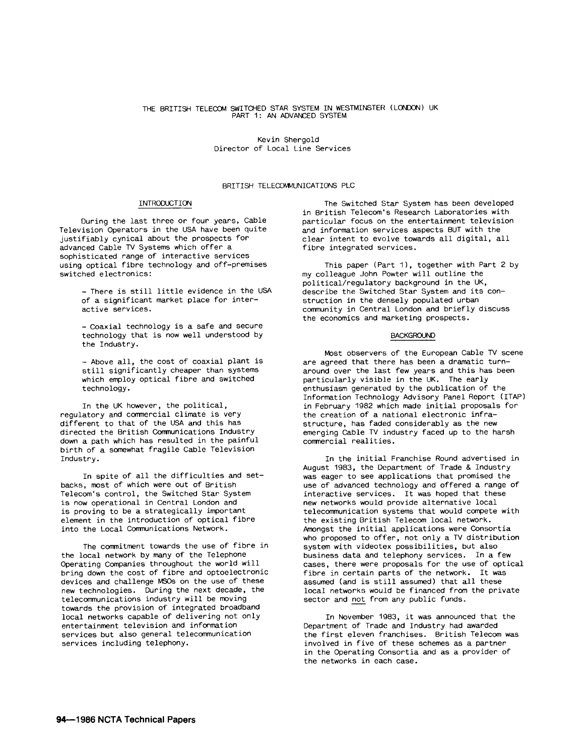## THE BRITISH TELECOM SWITCHED STAR SYSTEM IN WESTMINSTER (LONDON) UK PART 1: AN ADVANCED SYSTEM

Kevin Shergold Director of Local Line Services

# BRITISH TELECOMMUNICATIONS PLC

### INTRODUCTION

During the last three or four years, Cable Television Operators in the USA have been quite justifiably cynical about the prospects for advanced Cable TV Systems which offer a sophisticated range of interactive services using optical fibre technology and off-premises switched electronics:

- There is still little evidence in the USA of a significant market place for interactive services.

- Coaxial technology is a safe and secure technology that is now well understood by the Industry.

- Above all, the cost of coaxial plant is still significantly cheaper than systems which employ optical fibre and switched technology.

In the UK however, the political, regulatory and commercial climate is very different to that of the USA and this has directed the British Communications Industry down a path which has resulted in the painful birth of a somewhat fragile Cable Television Industry.

In spite of all the difficulties and setbacks, most of which were out of British Telecom's control, the Switched Star System is now operational in Central London and is proving to be a strategically important element in the introduction of optical fibre into the Local Communications Network.

The commitment towards the use of fibre in the local network by many of the Telephone Operating Companies throughout the world will bring down the cost of fibre and optoelectronic devices and challenge MSOs on the use of these new technologies. During the next decade, the telecommunications industry will be moving towards the provision of integrated broadband local networks capable of delivering not only entertainment television and information services but also general telecommunication services including telephony.

The Switched Star System has been developed in British Telecom's Research Laboratories with particular focus on the entertainment television and information services aspects BUT with the clear intent to evolve towards all digital, all fibre integrated services.

This paper (Part 1), together with Part 2 by my colleague John Powter will outline the political/regulatory background in the UK, describe the Switched Star System and its construction in the densely populated urban community in Central London and briefly discuss the economics and marketing prospects.

#### BACKGROUND

Most observers of the European Cable TV scene are agreed that there has been a dramatic turnaround over the last few years and this has been particularly visible in the UK. The early enthusiasm generated by the publication of the Information Technology Advisory Panel Report (ITAP) in February 1982 which made initial proposals for the creation of a national electronic infrastructure, has faded considerably as the new emerging Cable TV industry faced up to the harsh commercial realities.

In the initial Franchise Round advertised in August 1983, the Department of Trade & Industry was eager to see applications that promised the use of advanced technology and offered a range of interactive services. It was hoped that these new networks would provide alternative local telecommunication systems that would compete with the existing British Telecom local network. Amongst the initial applications were Consortia who proposed to offer, not only a TV distribution system with videotex possibilities, but also business data and telephony services. In a few cases, there were proposals for the use of optical fibre in certain parts of the network. It was assumed (and is still assumed) that all these local networks would be financed from the private sector and not from any public funds.

In November 1983, it was announced that the Department of Trade and Industry had awarded the first eleven franchises. British Telecom was involved in five of these schemes as a partner in the Operating Consortia and as a provider of the networks in each case.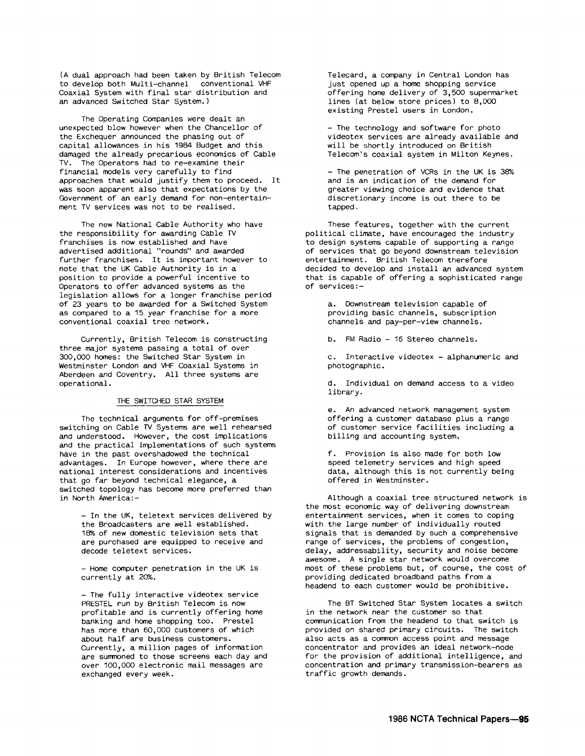(A dual approach had been taken by British Telecom to develop both Multi-channel conventional VHF Coaxial System with final star distribution and an advanced Switched Star System.)

The Operating Companies were dealt an unexpected blow however when the Chancellor of the Exchequer announced the phasing out of capital allowances in his 1984 Budget and this damaged the already precarious economics of Cable TV. The Operators had to re-examine their financial models very carefully to find approaches that would justify them to proceed. It was soon apparent also that expectations by the Government of an early demand for non-entertainment TV services was not to be realised.

The new National Cable Authority who have the responsibility for awarding Cable TV franchises is now established and have advertised additional "rounds" and awarded further franchises. It is important however to note that the UK Cable Authority is in a position to provide a powerful incentive to Operators to offer advanced systems as the legislation allows for a longer franchise period of 23 years to be awarded for a Switched System as compared to a 15 year franchise for a more conventional coaxial tree network.

Currently, British Telecom is constructing three major systems passing a total of over 300,000 homes: the Switched Star System in Westminster London and VHF Coaxial Systems in Aberdeen and Coventry. All three systems are operational.

### THE SWITCHED STAR SYSTEM

The technical arguments for off-premises switching on Cable TV Systems are well rehearsed and understood. However, the cost implications and the practical implementations of such systems have in the past overshadowed the technical advantages. In Europe however, where there are national interest considerations and incentives that go far beyond technical elegance, a switched topology has become more preferred than in North America:-

> - In the UK, teletext services delivered by the Broadcasters are well established. 18% of new domestic television sets that are purchased are equipped to receive and decode teletext services.

- Home computer penetration in the UK is currently at 20%.

- The fully interactive videotex service PRESTEL run by British Telecom is now profitable and is currently offering home banking and home shopping too. Prestel has more than 50,000 customers of which about half are business customers. Currently, a million pages of information are summoned to those screens each day and over 100,000 electronic mail messages are exchanged every week.

Telecard, a company in Central London has just opened up a home shopping service offering home delivery of 3,500 supermarket lines (at below store prices) to 8,000 existing Prestel users in London.

- The technology and software for photo videotex services are already available and will be shortly introduced on British Telecom's coaxial system in Milton Keynes.

 $-$  The penetration of VCRs in the UK is 38% and is an indication of the demand for greater viewing choice and evidence that discretionary income is out there to be tapped.

These features, together with the current political climate, have encouraged the industry to design systems capable of supporting a range of services that go beyond downstream television entertainment. British Telecom therefore decided to develop and install an advanced system that is capable of offering a sophisticated range of services:-

> a. Downstream television capable of providing basic channels, subscription channels and pay-per-view channels.

b. FM Radio - 16 Stereo channels.

c. Interactive videotex - alphanumeric and photographic.

d. Individual on demand access to a video library.

e. An advanced network management system offering a customer database plus a range of customer service facilities including a billing and accounting system.

f. Provision is also made for both low speed telemetry services and high speed data, although this is not currently being offered in Westminster.

Although a coaxial tree structured network is the most economic way of delivering downstream entertainment services, when it comes to coping with the large number of individually routed signals that is demanded by such a comprehensive range of services, the problems of congestion, delay, addressability, security and noise become awesome. A single star network would overcome most of these problems but, of course, the cost of providing dedicated broadband paths from a headend to each customer would be prohibitive.

The BT Switched Star System locates a switch in the network near the customer so that communication from the headend to that switch is provided on shared primary circuits. The switch also acts as a common access point and message concentrator and provides an ideal network-node for the provision of additional intelligence, and concentration and primary transmission-bearers as traffic growth demands.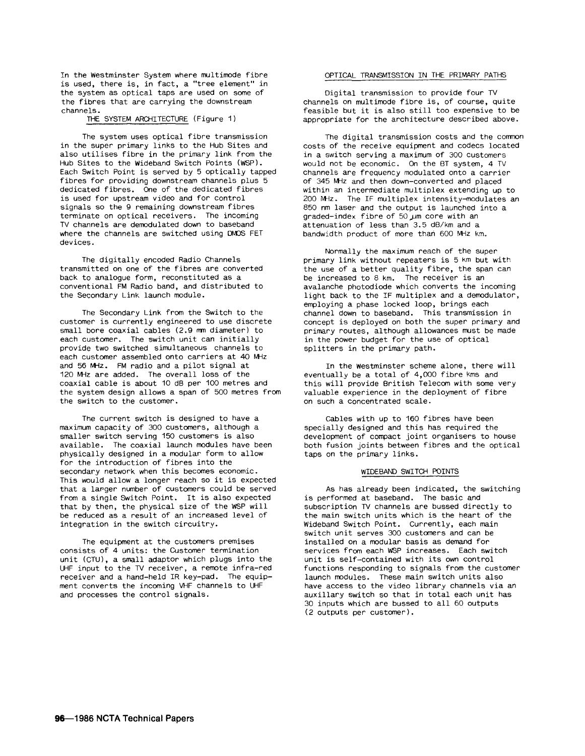In the westminster System where multimode fibre is used, there is, in fact, a "tree element" in the system as optical taps are used on some of the fibres that are carrying the downstream channels.

### THE SYSTEM ARCHITECTURE (Figure 1)

The system uses optical fibre transmission in the super primary links to the Hub Sites and also utilises fibre in the primary link from the Hub Sites to the Wideband Switch Points (WSP). Each Switch Point is served by 5 optically tapped fibres for providing downstream channels plus 5 dedicated fibres. One of the dedicated fibres is used for upstream video and for control signals so the 9 remaining downstream fibres terminate on optical receivers. The incoming TV channels are demodulated down to baseband where the channels are switched using DMOS FET devices.

The digitally encoded Radio Channels transmitted on one of the fibres are converted back to analogue form, reconstituted as a conventional FM Radio band, and distributed to the Secondary Link launch module.

The Secondary Link from the Switch to the customer is currently engineered to use discrete small bore coaxial cables (2.9 mm diameter) to each customer. The switch unit can initially provide two switched simultaneous channels to each customer assembled onto carriers at 40 MHz and 56 MHz. FM radio and a pilot signal at 120 MHz are added. The overall loss of the coaxial cable is about 10 dB per 100 metres and the system design allows a span of 500 metres from the switch to the customer.

The current switch is designed to have a maximum capacity of 300 customers, although a smaller switch serving 150 customers is also available. The coaxial launch modules have been physically designed in a modular form to allow for the introduction of fibres into the secondary network when this becomes economic. This would allow a longer reach so it is expected that a larger number of customers could be served from a single Switch Point. It is also expected that by then, the physical size of the WSP will be reduced as a result of an increased level of integration in the switch circuitry.

The equipment at the customers premises consists of 4 units: the Customer termination unit (CTU), a small adaptor which plugs into the UHF input to the TV receiver, a remote infra-red receiver and a hand-held IR key-pad. The equipment converts the incoming VHF channels to UHF and processes the control signals.

### OPTICAL TRANSMISSION IN THE PRIMARY PATHS

Digital transmission to provide four TV channels on multimode fibre is, of course, quite feasible but it is also still too expensive to be appropriate for the architecture described above.

The digital transmission costs and the common costs of the receive equipment and codecs located in a switch serving a maximum of 300 customers would not be economic. On the BT system, 4 TV channels are frequency modulated onto a carrier of 345 MHz and then down-converted and placed within an intermediate multiplex extending up to 200 MHz. The IF multiplex intensity-modulates an 850 nm laser and the output is launched into a graded-index fibre of  $50 \mu m$  core with an attenuation of less than 3.5 dB/km and a bandwidth product of more than 600 MHz km.

Normally the maximum reach of the super primary link without repeaters is 5 Km but with the use of a better quality fibre, the span can be increased to 8 km. The receiver is an avalanche photodiode which converts the incoming light back to the IF multiplex and a demodulator, employing a phase locked loop, brings each channel down to baseband. This transmission in concept is deployed on both the super primary and primary routes, although allowances must be made in the power budget for the use of optical splitters in the primary path.

In the westminster scheme alone, there will eventually be a total of 4,000 fibre kms and this will provide British Telecom with some very valuable experience in the deployment of fibre on such a concentrated scale.

Cables with up to 160 fibres have been specially designed and this has required the development of compact joint organisers to house both fusion joints between fibres and the optical taps on the primary links.

## WIDEBAND SWITCH POINTS

As has already been indicated, the switching is performed at baseband. The basic and subscription TV channels are bussed directly to the main switch units which is the heart of the Wideband Switch Point. Currently, each main switch unit serves 300 customers and can be installed on a modular basis as demand for services from each WSP increases. Each switch unit is self-contained with its own control functions responding to signals from the customer launch modules. These main switch units also have access to the video library channels via an auxillary switch so that in total each unit has 30 inputs which are bussed to all 60 outputs (2 outputs per customer).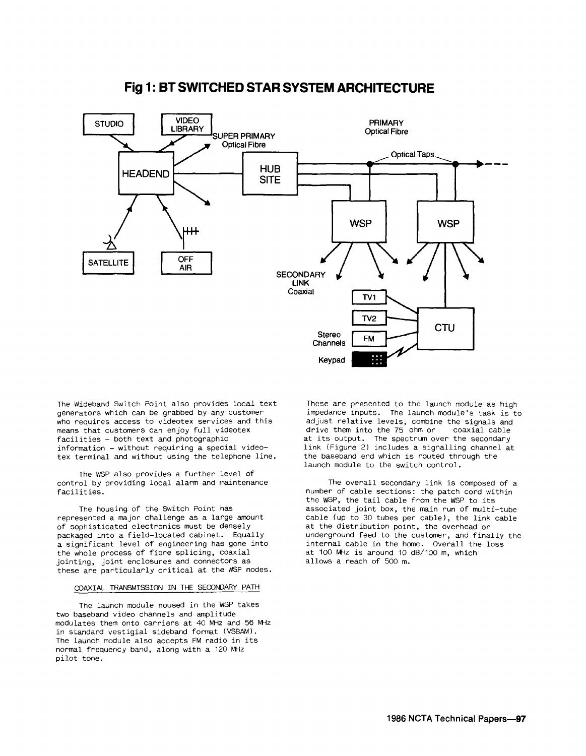

# **Fig 1: BT SWITCHED STAR SYSTEM ARCHITECTURE**

The Wideband Switch Point also provides local text generators which can be grabbed by any customer who requires access to videotex services and this means that customers can enjoy full videotex facilities - both text and photographic information - without requiring a special videotex terminal and without using the telephone line.

The WSP also provides a further level of control by providing local alarm and maintenance facilities.

The housing of the Switch Point has represented a major challenge as a large amount of sophisticated electronics must be densely packaged into a field-located cabinet. Equally a significant level of engineering has gone into the whole process of fibre splicing, coaxial jointing, joint enclosures and connectors as these are particularly critical at the WSP nodes.

## COAXIAL TRANSMISSION IN THE SECONDARY PATH

The launch module housed in the WSP takes two baseband video channels and amplitude modulates them onto carriers at 40 MHz and 56 MHz in standard vestigial sideband format (VSBAM). The launch module also accepts FM radio in its normal frequency band, along with a 120 MHz pilot tone.

These are presented to the launch module as high impedance inputs. The launch module's task is to adjust relative levels, combine the signals and<br>drive them into the 75 ohm or coaxial cable drive them into the 75 ohm or at its output. The spectrum over the secondary link (Figure 2) includes a signalling channel at the baseband end which is routed through the launch module to the switch control.

The overall secondary link is composed of a number of cable sections: the patch cord within the WSP, the tail cable from the WSP to its associated joint box, the main run of multi-tube cable (up to 30 tubes per cable), the link cable at the distribution point, the overhead or underground feed to the customer, and finally the internal cable in the home. Overall the loss at 100 MHz is around 10 dB/100 m, which allows a reach of 500 m.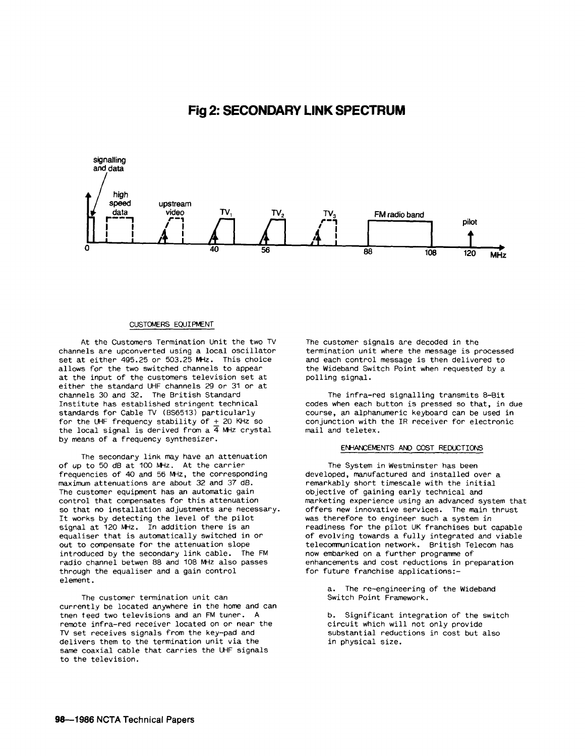# **Fig 2: SECONDARY LINK SPECTRUM**



## CUSTOMERS EQUIPMENT

At the Customers Termination Unit the two TV channels are upconverted using a local oscillator set at either 495.25 or 503.25 MHz. This choice allows for the two switched channels to appear at the input of the customers television set at either the standard UHF channels 29 or 31 or at channels 30 and 32. The British Standard Institute has established stringent technical standards for Cable TV (BS6513) particularly for the UHF frequency stability of + 20 KHz so the local signal is derived from a  $\overline{4}$  MHz crystal by means of a frequency synthesizer.

The secondary link may have an attenuation of up to 50 dB at 100 MHz. At the carrier frequencies of 40 and 56 MHz, the corresponding maximum attenuations are about 32 and 37 dB. The customer equipment has an automatic gain control that compensates for this attenuation so that no installation adjustments are necessary. It works by detecting the level of the pilot signal at 120 MHz. In addition there is an equaliser that is automatically switched in or out to compensate for the attenuation slope introduced by the secondary link cable. The FM radio channel betwen 88 and 108 MHz also passes through the equaliser and a gain control element.

The customer termination unit can currently be located anywhere in the home and can tnen teed two televisions and an FM tuner. A remote infra-red receiver located on or near the TV set receives signals from the key-pad and delivers them to the termination unit via the same coaxial cable that carries the UHF signals to the television.

The customer signals are decoded in the termination unit where the message is processed and each control message is then delivered to the Wideband Switch Point when requested by a polling signal.

The infra-red signalling transmits 8-Bit codes when each button is pressed so that, in due course, an alphanumeric keyboard can be used in conjunction with the IR receiver for electronic mail and teletex.

### ENHANCEMENTS AND COST REDUCTIONS

The System in Westminster has been developed, manufactured and installed over a remarkably short timescale with the initial objective of gaining early technical and marketing experience using an advanced system that offers new innovative services. The main thrust was therefore to engineer such a system in readiness for the pilot UK franchises but capable of evolving towards a fully integrated and viable telecommunication network. British Telecom has now embarked on a further programme of enhancements and cost reductions in preparation for future franchise applications:-

> a. The re-engineering of the Wideband Switch Point Framework.

b. Significant integration of the switch circuit which will not only provide substantial reductions in cost but also in physical size.